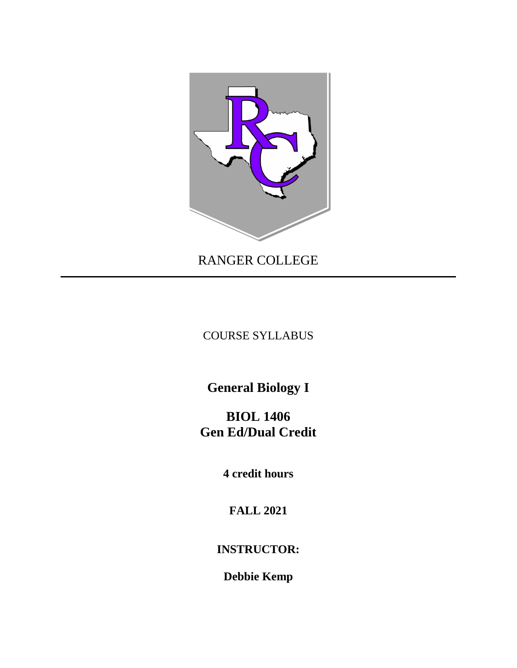

RANGER COLLEGE

COURSE SYLLABUS

**General Biology I**

**BIOL 1406 Gen Ed/Dual Credit**

**4 credit hours**

**FALL 2021**

**INSTRUCTOR:**

**Debbie Kemp**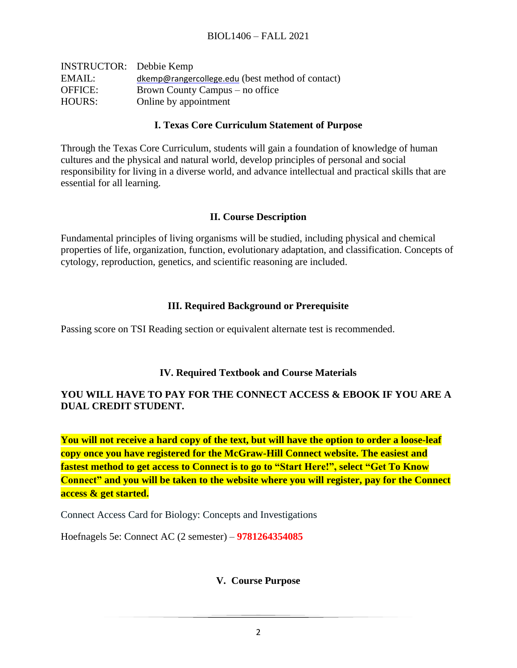| <b>INSTRUCTOR:</b> Debbie Kemp |                                                  |
|--------------------------------|--------------------------------------------------|
| EMAIL:                         | dkemp@rangercollege.edu (best method of contact) |
| <b>OFFICE:</b>                 | Brown County Campus – no office                  |
| HOURS:                         | Online by appointment                            |

### **I. Texas Core Curriculum Statement of Purpose**

Through the Texas Core Curriculum, students will gain a foundation of knowledge of human cultures and the physical and natural world, develop principles of personal and social responsibility for living in a diverse world, and advance intellectual and practical skills that are essential for all learning.

### **II. Course Description**

Fundamental principles of living organisms will be studied, including physical and chemical properties of life, organization, function, evolutionary adaptation, and classification. Concepts of cytology, reproduction, genetics, and scientific reasoning are included.

# **III. Required Background or Prerequisite**

Passing score on TSI Reading section or equivalent alternate test is recommended.

# **IV. Required Textbook and Course Materials**

### **YOU WILL HAVE TO PAY FOR THE CONNECT ACCESS & EBOOK IF YOU ARE A DUAL CREDIT STUDENT.**

You will not receive a hard copy of the text, but will have the option to order a loose-leaf **copy once you have registered for the McGraw-Hill Connect website. The easiest and fastest method to get access to Connect is to go to "Start Here!", select "Get To Know Connect" and you will be taken to the website where you will register, pay for the Connect access & get started.**

Connect Access Card for Biology: Concepts and Investigations

Hoefnagels 5e: Connect AC (2 semester) – **9781264354085**

# **V. Course Purpose**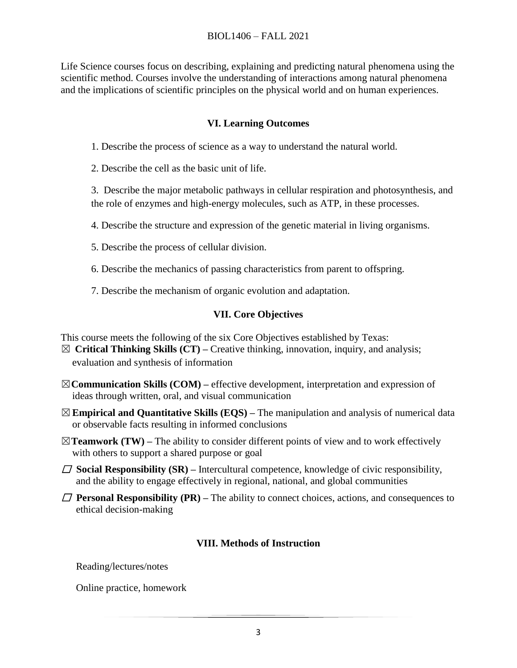#### BIOL1406 – FALL 2021

Life Science courses focus on describing, explaining and predicting natural phenomena using the scientific method. Courses involve the understanding of interactions among natural phenomena and the implications of scientific principles on the physical world and on human experiences.

### **VI. Learning Outcomes**

1. Describe the process of science as a way to understand the natural world.

2. Describe the cell as the basic unit of life.

 3. Describe the major metabolic pathways in cellular respiration and photosynthesis, and the role of enzymes and high-energy molecules, such as ATP, in these processes.

4. Describe the structure and expression of the genetic material in living organisms.

5. Describe the process of cellular division.

6. Describe the mechanics of passing characteristics from parent to offspring.

7. Describe the mechanism of organic evolution and adaptation.

# **VII. Core Objectives**

This course meets the following of the six Core Objectives established by Texas:

- ☒ **Critical Thinking Skills (CT) –** Creative thinking, innovation, inquiry, and analysis; evaluation and synthesis of information
- ☒**Communication Skills (COM) –** effective development, interpretation and expression of ideas through written, oral, and visual communication
- ☒**Empirical and Quantitative Skills (EQS) –** The manipulation and analysis of numerical data or observable facts resulting in informed conclusions
- $\boxtimes$ **Teamwork (TW)** The ability to consider different points of view and to work effectively with others to support a shared purpose or goal
- $\Box$  **Social Responsibility (SR)** Intercultural competence, knowledge of civic responsibility, and the ability to engage effectively in regional, national, and global communities
- $\Box$  **Personal Responsibility (PR)** The ability to connect choices, actions, and consequences to ethical decision-making

# **VIII. Methods of Instruction**

Reading/lectures/notes

Online practice, homework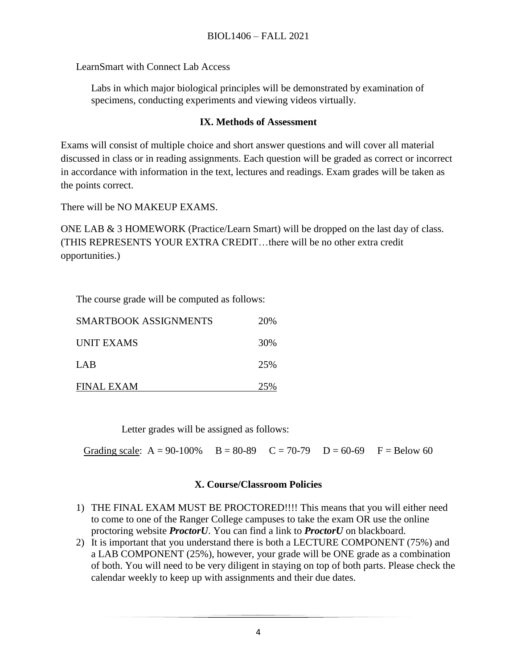LearnSmart with Connect Lab Access

Labs in which major biological principles will be demonstrated by examination of specimens, conducting experiments and viewing videos virtually.

### **IX. Methods of Assessment**

Exams will consist of multiple choice and short answer questions and will cover all material discussed in class or in reading assignments. Each question will be graded as correct or incorrect in accordance with information in the text, lectures and readings. Exam grades will be taken as the points correct.

There will be NO MAKEUP EXAMS.

ONE LAB & 3 HOMEWORK (Practice/Learn Smart) will be dropped on the last day of class. (THIS REPRESENTS YOUR EXTRA CREDIT…there will be no other extra credit opportunities.)

The course grade will be computed as follows:

| SMARTBOOK ASSIGNMENTS | 20\% |
|-----------------------|------|
| <b>UNIT EXAMS</b>     | 30%  |
| LAB                   | 25%  |
| <b>FINAL EXAM</b>     | 25%  |

Letter grades will be assigned as follows:

Grading scale:  $A = 90-100\%$   $B = 80-89$   $C = 70-79$   $D = 60-69$   $F = Below 60$ 

# **X. Course/Classroom Policies**

- 1) THE FINAL EXAM MUST BE PROCTORED!!!! This means that you will either need to come to one of the Ranger College campuses to take the exam OR use the online proctoring website *ProctorU*. You can find a link to *ProctorU* on blackboard.
- 2) It is important that you understand there is both a LECTURE COMPONENT (75%) and a LAB COMPONENT (25%), however, your grade will be ONE grade as a combination of both. You will need to be very diligent in staying on top of both parts. Please check the calendar weekly to keep up with assignments and their due dates.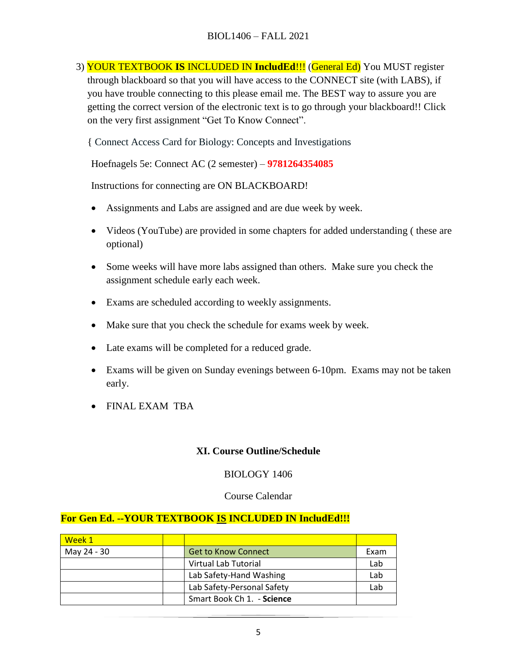3) YOUR TEXTBOOK **IS** INCLUDED IN **IncludEd**!!! (General Ed) You MUST register through blackboard so that you will have access to the CONNECT site (with LABS), if you have trouble connecting to this please email me. The BEST way to assure you are getting the correct version of the electronic text is to go through your blackboard!! Click on the very first assignment "Get To Know Connect".

{ Connect Access Card for Biology: Concepts and Investigations

Hoefnagels 5e: Connect AC (2 semester) – **9781264354085**

Instructions for connecting are ON BLACKBOARD!

- Assignments and Labs are assigned and are due week by week.
- Videos (YouTube) are provided in some chapters for added understanding (these are optional)
- Some weeks will have more labs assigned than others. Make sure you check the assignment schedule early each week.
- Exams are scheduled according to weekly assignments.
- Make sure that you check the schedule for exams week by week.
- Late exams will be completed for a reduced grade.
- Exams will be given on Sunday evenings between 6-10pm. Exams may not be taken early.
- FINAL EXAM TBA

#### **XI. Course Outline/Schedule**

#### BIOLOGY 1406

#### Course Calendar

#### **For Gen Ed. --YOUR TEXTBOOK IS INCLUDED IN IncludEd!!!**

| Week 1      |                            |      |
|-------------|----------------------------|------|
| May 24 - 30 | Get to Know Connect        | Exam |
|             | Virtual Lab Tutorial       | Lab  |
|             | Lab Safety-Hand Washing    | Lab  |
|             | Lab Safety-Personal Safety | Lab  |
|             | Smart Book Ch 1. - Science |      |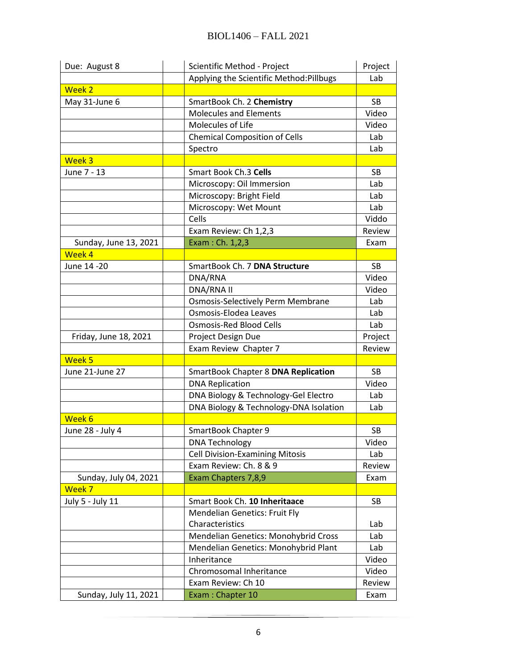| Due: August 8         | Scientific Method - Project                 | Project   |
|-----------------------|---------------------------------------------|-----------|
|                       | Applying the Scientific Method:Pillbugs     | Lab       |
| <b>Week 2</b>         |                                             |           |
| May 31-June 6         | SmartBook Ch. 2 Chemistry                   | <b>SB</b> |
|                       | <b>Molecules and Elements</b>               | Video     |
|                       | Molecules of Life                           | Video     |
|                       | <b>Chemical Composition of Cells</b>        | Lab       |
|                       | Spectro                                     | Lab       |
| Week <sub>3</sub>     |                                             |           |
| June 7 - 13           | Smart Book Ch.3 Cells                       | <b>SB</b> |
|                       | Microscopy: Oil Immersion                   | Lab       |
|                       | Microscopy: Bright Field                    | Lab       |
|                       | Microscopy: Wet Mount                       | Lab       |
|                       | Cells                                       | Viddo     |
|                       | Exam Review: Ch 1,2,3                       | Review    |
| Sunday, June 13, 2021 | Exam: Ch. 1,2,3                             | Exam      |
| Week 4                |                                             |           |
| June 14 -20           | SmartBook Ch. 7 DNA Structure               | SB        |
|                       | DNA/RNA                                     | Video     |
|                       | DNA/RNA II                                  | Video     |
|                       | <b>Osmosis-Selectively Perm Membrane</b>    | Lab       |
|                       | Osmosis-Elodea Leaves                       | Lab       |
|                       | <b>Osmosis-Red Blood Cells</b>              | Lab       |
| Friday, June 18, 2021 | Project Design Due                          | Project   |
|                       | Exam Review Chapter 7                       | Review    |
| Week 5                |                                             |           |
| June 21-June 27       | <b>SmartBook Chapter 8 DNA Replication</b>  | SB        |
|                       | <b>DNA Replication</b>                      | Video     |
|                       | DNA Biology & Technology-Gel Electro        | Lab       |
|                       | DNA Biology & Technology-DNA Isolation      | Lab       |
| Week 6                |                                             |           |
| June 28 - July 4      | SmartBook Chapter 9                         | <b>SB</b> |
|                       | <b>DNA Technology</b>                       | Video     |
|                       | <b>Cell Division-Examining Mitosis</b>      | Lab       |
|                       | Exam Review: Ch. 8 & 9                      | Review    |
| Sunday, July 04, 2021 | Exam Chapters 7,8,9                         | Exam      |
| Week 7                |                                             |           |
| July 5 - July 11      | Smart Book Ch. 10 Inheritaace               | SB        |
|                       | <b>Mendelian Genetics: Fruit Fly</b>        |           |
|                       | Characteristics                             | Lab       |
|                       | <b>Mendelian Genetics: Monohybrid Cross</b> | Lab       |
|                       | Mendelian Genetics: Monohybrid Plant        | Lab       |
|                       | Inheritance                                 | Video     |
|                       | Chromosomal Inheritance                     | Video     |
|                       | Exam Review: Ch 10                          | Review    |
| Sunday, July 11, 2021 | Exam: Chapter 10                            | Exam      |